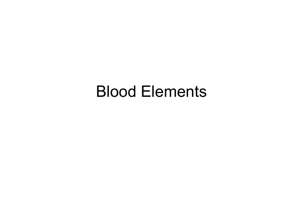#### Blood Elements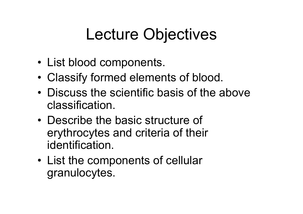## Lecture Objectives

- List blood components.
- •Classify formed elements of blood.
- • Discuss the scientific basis of the above classification.
- • Describe the basic structure of erythrocytes and criteria of their identification.
- • List the components of cellular granulocytes.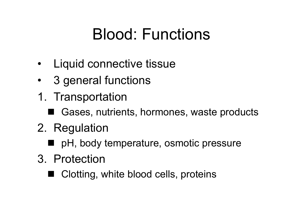## Blood: Functions

- Liquid connective tissue
- •3 general functions
- 1. Transportation
	- Gases, nutrients, hormones, waste products
- 2. Regulation
	- pH, body temperature, osmotic pressure
- 3. Protection
	- Clotting, white blood cells, proteins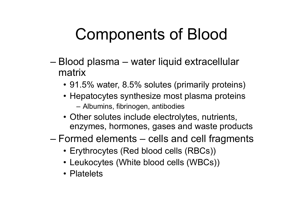## Components of Blood

- – Blood plasma – water liquid extracellular matrix
	- 91.5% water, 8.5% solutes (primarily proteins)
	- Hepatocytes synthesize most plasma proteins Albumins, fibrinogen, antibodies
	- Other solutes include electrolytes, nutrients, enzymes, hormones, gases and waste products
- – Formed elements – cells and cell fragments
	- Erythrocytes (Red blood cells (RBCs))
	- Leukocytes (White blood cells (WBCs))
	- Platelets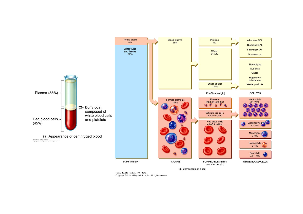

Figure 19.01b Tortora - PAP 12/e<br>Copyright @ John Wiley and Sons, Inc. All rights reserved.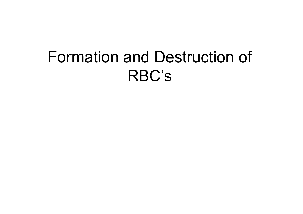## Formation and Destruction of RBC's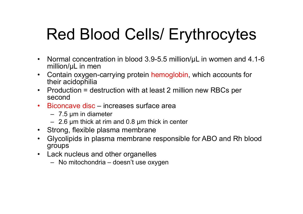## Red Blood Cells/ Erythrocytes

- Normal concentration in blood 3.9-5.5 million/µL in women and 4.1-6 million/µL in men
- $\bullet$  Contain oxygen-carrying protein hemoglobin, which accounts for their acidophilia
- Production = destruction with at least 2 million new RBCs per second
- Biconcave disc increases surface area
	- 7.5 µm in diameter
	- 2.6 µm thick at rim and 0.8 µm thick in center
- Strong, flexible plasma membrane
- $\bullet$  Glycolipids in plasma membrane responsible for ABO and Rh blood groups
- Lack nucleus and other organelles
	- No mitochondria doesn't use oxygen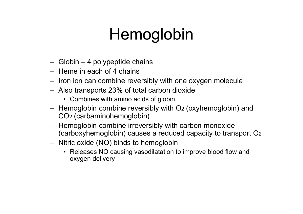## Hemoglobin

- Globin 4 polypeptide chains
- Heme in each of 4 chains
- Iron ion can combine reversibly with one oxygen molecule
- Also transports 23% of total carbon dioxide
	- Combines with amino acids of globin
- Hemoglobin combine reversibly with O 2 (oxyhemoglobin) and CO 2 (carbaminohemoglobin)
- Hemoglobin combine irreversibly with carbon monoxide (carboxyhemoglobin) causes a reduced capacity to transport O 2
- Nitric oxide (NO) binds to hemoglobin
	- Releases NO causing vasodilatation to improve blood flow and oxygen delivery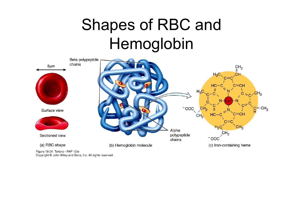# Shapes of RBC and Hemoglobin



Figure 19.04 Tortora - PAP 12/e Copyright © John Wiley and Sons, Inc. All rights reserved.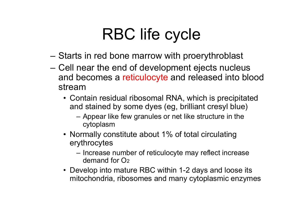## RBC life cycle

- –Starts in red bone marrow with proerythroblast
- Cell near the end of development ejects nucleus and becomes a reticulocyte and released into blood stream
	- Contain residual ribosomal RNA, which is precipitated and stained by some dyes (eg, brilliant cresyl blue)
		- Appear like few granules or net like structure in the cytoplasm
	- Normally constitute about 1% of total circulating erythrocytes
		- Increase number of reticulocyte may reflect increase demand for O<sub>2</sub>
	- Develop into mature RBC within 1-2 days and loose its mitochondria, ribosomes and many cytoplasmic enzymes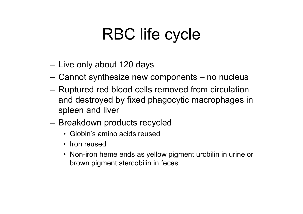## RBC life cycle

- Live only about 120 days
- Cannot synthesize new components no nucleus
- Ruptured red blood cells removed from circulation and destroyed by fixed phagocytic macrophages in spleen and liver
- Breakdown products recycled
	- Globin's amino acids reused
	- Iron reused
	- Non-iron heme ends as yellow pigment urobilin in urine or brown pigment stercobilin in feces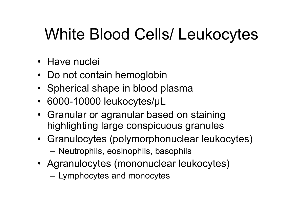## White Blood Cells/ Leukocytes

- Have nuclei
- Do not contain hemoglobin
- Spherical shape in blood plasma
- 6000-10000 leukocytes/µL
- Granular or agranular based on staining highlighting large conspicuous granules
- Granulocytes (polymorphonuclear leukocytes) –Neutrophils, eosinophils, basophils
- Agranulocytes (mononuclear leukocytes)
	- Lymphocytes and monocytes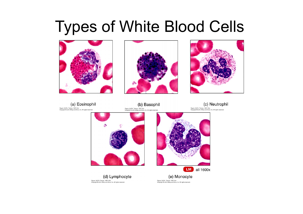### Types of White Blood Cells







(a) Eosinophil Figure 19.07a Tortora - PAP 12/e<br>Copyright © John Wiley and Sons, Inc. All rights reserved

(b) Basophil Figure 19.07b Tortora - PAP 12/e<br>Copyright © John Wiley and Sons, Inc. All rights reserved.

(c) Neutrophil Figure 19.07c Tortora - PAP 12/e<br>Copyright © John Wiley and Sons, Inc. All rights reserved.



(d) Lymphocyte Figure 19.07d Tortora - PAP 12/e<br>Copyright © John Wiley and Sons, Inc. All rights reserved.



(e) Monocyte Figure 19.07e Tortora - PAP 12/e<br>Copyright © John Wiley and Sons, Inc. All rights reserved.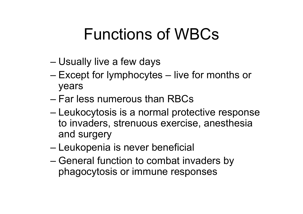### Functions of WBCs

- –Usually live a few days
- – Except for lymphocytes – live for months or years
- Far less numerous than RBCs
- – Leukocytosis is a normal protective response to invaders, strenuous exercise, anesthesia and surgery
- –Leukopenia is never beneficial
- – General function to combat invaders by phagocytosis or immune responses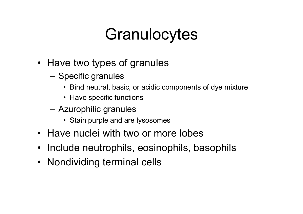## **Granulocytes**

- Have two types of granules
	- – Specific granules
		- Bind neutral, basic, or acidic components of dye mixture
		- Have specific functions
	- Azurophilic granules
		- Stain purple and are lysosomes
- Have nuclei with two or more lobes
- Include neutrophils, eosinophils, basophils
- Nondividing terminal cells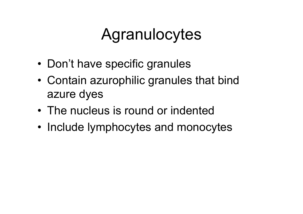### Agranulocytes

- •Don't have specific granules
- • Contain azurophilic granules that bind azure dyes
- The nucleus is round or indented
- Include lymphocytes and monocytes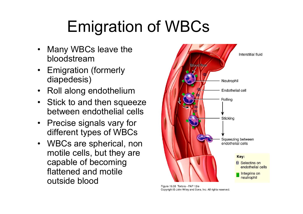# Emigration of WBCs

- $\bullet$  Many WBCs leave the bloodstream
- Emigration (formerly diapedesis)
- $\bullet$ Roll along endothelium
- Stick to and then squeeze between endothelial cells
- • Precise signals vary for different types of WBCs
- WBCs are spherical, non motile cells, but they are capable of becoming flattened and motile outside blood



Figure 19.08 Tortora - PAP 12/e Copyright © John Wiley and Sons, Inc. All rights reserved.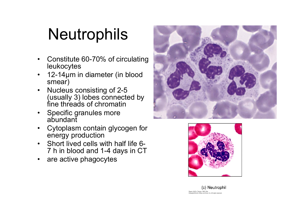## **Neutrophils**

- $\bullet$  Constitute 60-70% of circulating leukocytes
- • 12-14µm in diameter (in blood smear)
- $\bullet$  Nucleus consisting of 2-5 (usually 3) lobes connected by fine threads of chromatin
- Specific granules more abundant
- • Cytoplasm contain glycogen for energy production
- $\bullet$  Short lived cells with half life 6- 7 h in blood and 1-4 days in CT
- •are active phagocytes





(c) Neutrophil Figure 19.07c Tortora - PAP 12/e<br>Copyright © John Wiley and Sons, Inc. All rights reserved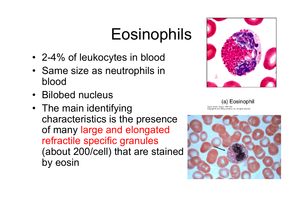## **Eosinophils**

- 2-4% of leukocytes in blood
- Same size as neutrophils in blood
- •Bilobed nucleus
- The main identifying characteristics is the presence of many large and elongated refractile specific granules (about 200/cell) that are stained by eosin



(a) Eosinophil Figure 19.07a Tortora - PAP 12/e Copyright @ John Wiley and Sons, Inc. All rights reserved.

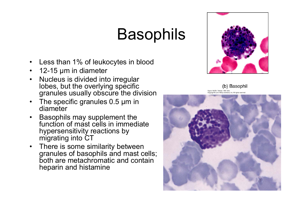## **Basophils**

- $\bullet$ Less than 1% of leukocytes in blood
- 12-15 µm in diameter
- $\bullet$  Nucleus is divided into irregular lobes, but the overlying specific granules usually obscure the division
- The specific granules 0.5 µm in diameter
- • Basophils may supplement the function of mast cells in immediate hypersensitivity reactions by migrating into  $\mathsf{CT}$
- There is some similarity between granules of basophils and mast cells; both are metachromatic and contain heparin and histamine



(b) Basophil Figure 19.07b Tortora - PAP 12/e pyright C John Wiley and Sons, Inc. All rights res

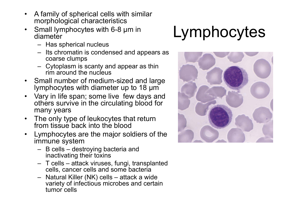- $\bullet$  A family of spherical cells with similar morphological characteristics
- • Small lymphocytes with 6-8 µm in diameter
	- Has spherical nucleus
	- Its chromatin is condensed and appears as coarse clumps
	- Cytoplasm is scanty and appear as thin rim around the nucleus
- • Small number of medium-sized and large lymphocytes with diameter up to 18 µm
- • Vary in life span; some live few days and others survive in the circulating blood for many years
- • The only type of leukocytes that return from tissue back into the blood
- • Lymphocytes are the major soldiers of the immune system
	- B cells destroying bacteria and inactivating their toxins
	- T cells attack viruses, fungi, transplanted cells, cancer cells and some bacteria
	- Natural Killer (NK) cells attack a wide variety of infectious microbes and certain tumor cells

# Lymphocytes

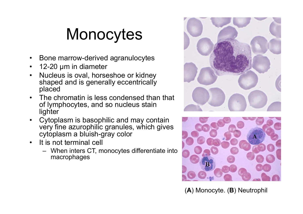## **Monocytes**

- •Bone marrow-derived agranulocytes
- $\bullet$ 12-20 µm in diameter
- • Nucleus is oval, horseshoe or kidney shaped and is generally eccentrically placed
- • The chromatin is less condensed than that of lymphocytes, and so nucleus stain **lighter**
- • Cytoplasm is basophilic and may contain very fine azurophilic granules, which gives cytoplasm a bluish-gray color
- • It is not terminal cell
	- When inters CT, monocytes differentiate into macrophages





(**A**) Monocyte. (**B**) Neutrophil